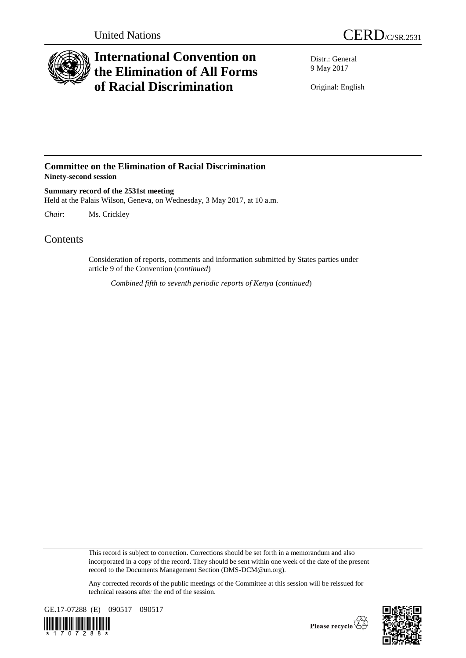

## **International Convention on the Elimination of All Forms of Racial Discrimination**

Distr.: General 9 May 2017

Original: English

## **Committee on the Elimination of Racial Discrimination Ninety-second session**

**Summary record of the 2531st meeting** Held at the Palais Wilson, Geneva, on Wednesday, 3 May 2017, at 10 a.m.

*Chair*: Ms. Crickley

## **Contents**

Consideration of reports, comments and information submitted by States parties under article 9 of the Convention (*continued*)

*Combined fifth to seventh periodic reports of Kenya* (*continued*)

This record is subject to correction. Corrections should be set forth in a memorandum and also incorporated in a copy of the record. They should be sent within one week of the date of the present record to the Documents Management Section (DMS-DCM@un.org).

Any corrected records of the public meetings of the Committee at this session will be reissued for technical reasons after the end of the session.





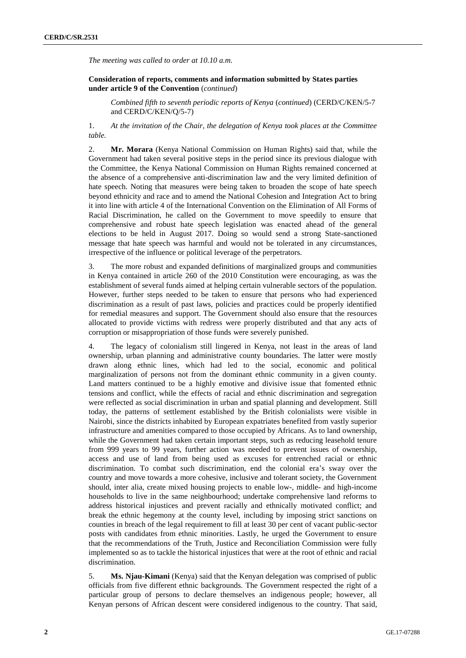*The meeting was called to order at 10.10 a.m.*

**Consideration of reports, comments and information submitted by States parties under article 9 of the Convention** (*continued*)

*Combined fifth to seventh periodic reports of Kenya* (*continued*) (CERD/C/KEN/5-7 and CERD/C/KEN/Q/5-7)

1. *At the invitation of the Chair, the delegation of Kenya took places at the Committee table.*

2. **Mr. Morara** (Kenya National Commission on Human Rights) said that, while the Government had taken several positive steps in the period since its previous dialogue with the Committee, the Kenya National Commission on Human Rights remained concerned at the absence of a comprehensive anti-discrimination law and the very limited definition of hate speech. Noting that measures were being taken to broaden the scope of hate speech beyond ethnicity and race and to amend the National Cohesion and Integration Act to bring it into line with article 4 of the International Convention on the Elimination of All Forms of Racial Discrimination, he called on the Government to move speedily to ensure that comprehensive and robust hate speech legislation was enacted ahead of the general elections to be held in August 2017. Doing so would send a strong State-sanctioned message that hate speech was harmful and would not be tolerated in any circumstances, irrespective of the influence or political leverage of the perpetrators.

3. The more robust and expanded definitions of marginalized groups and communities in Kenya contained in article 260 of the 2010 Constitution were encouraging, as was the establishment of several funds aimed at helping certain vulnerable sectors of the population. However, further steps needed to be taken to ensure that persons who had experienced discrimination as a result of past laws, policies and practices could be properly identified for remedial measures and support. The Government should also ensure that the resources allocated to provide victims with redress were properly distributed and that any acts of corruption or misappropriation of those funds were severely punished.

4. The legacy of colonialism still lingered in Kenya, not least in the areas of land ownership, urban planning and administrative county boundaries. The latter were mostly drawn along ethnic lines, which had led to the social, economic and political marginalization of persons not from the dominant ethnic community in a given county. Land matters continued to be a highly emotive and divisive issue that fomented ethnic tensions and conflict, while the effects of racial and ethnic discrimination and segregation were reflected as social discrimination in urban and spatial planning and development. Still today, the patterns of settlement established by the British colonialists were visible in Nairobi, since the districts inhabited by European expatriates benefited from vastly superior infrastructure and amenities compared to those occupied by Africans. As to land ownership, while the Government had taken certain important steps, such as reducing leasehold tenure from 999 years to 99 years, further action was needed to prevent issues of ownership, access and use of land from being used as excuses for entrenched racial or ethnic discrimination. To combat such discrimination, end the colonial era's sway over the country and move towards a more cohesive, inclusive and tolerant society, the Government should, inter alia, create mixed housing projects to enable low-, middle- and high-income households to live in the same neighbourhood; undertake comprehensive land reforms to address historical injustices and prevent racially and ethnically motivated conflict; and break the ethnic hegemony at the county level, including by imposing strict sanctions on counties in breach of the legal requirement to fill at least 30 per cent of vacant public-sector posts with candidates from ethnic minorities. Lastly, he urged the Government to ensure that the recommendations of the Truth, Justice and Reconciliation Commission were fully implemented so as to tackle the historical injustices that were at the root of ethnic and racial discrimination.

5. **Ms. Njau-Kimani** (Kenya) said that the Kenyan delegation was comprised of public officials from five different ethnic backgrounds. The Government respected the right of a particular group of persons to declare themselves an indigenous people; however, all Kenyan persons of African descent were considered indigenous to the country. That said,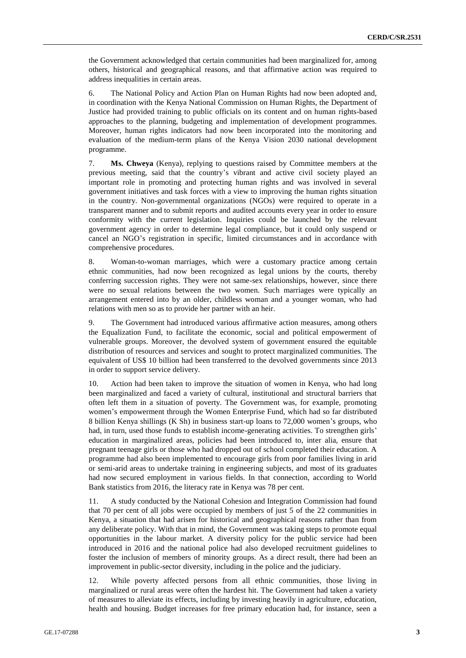the Government acknowledged that certain communities had been marginalized for, among others, historical and geographical reasons, and that affirmative action was required to address inequalities in certain areas.

6. The National Policy and Action Plan on Human Rights had now been adopted and, in coordination with the Kenya National Commission on Human Rights, the Department of Justice had provided training to public officials on its content and on human rights-based approaches to the planning, budgeting and implementation of development programmes. Moreover, human rights indicators had now been incorporated into the monitoring and evaluation of the medium-term plans of the Kenya Vision 2030 national development programme.

7. **Ms. Chweya** (Kenya), replying to questions raised by Committee members at the previous meeting, said that the country's vibrant and active civil society played an important role in promoting and protecting human rights and was involved in several government initiatives and task forces with a view to improving the human rights situation in the country. Non-governmental organizations (NGOs) were required to operate in a transparent manner and to submit reports and audited accounts every year in order to ensure conformity with the current legislation. Inquiries could be launched by the relevant government agency in order to determine legal compliance, but it could only suspend or cancel an NGO's registration in specific, limited circumstances and in accordance with comprehensive procedures.

8. Woman-to-woman marriages, which were a customary practice among certain ethnic communities, had now been recognized as legal unions by the courts, thereby conferring succession rights. They were not same-sex relationships, however, since there were no sexual relations between the two women. Such marriages were typically an arrangement entered into by an older, childless woman and a younger woman, who had relations with men so as to provide her partner with an heir.

9. The Government had introduced various affirmative action measures, among others the Equalization Fund, to facilitate the economic, social and political empowerment of vulnerable groups. Moreover, the devolved system of government ensured the equitable distribution of resources and services and sought to protect marginalized communities. The equivalent of US\$ 10 billion had been transferred to the devolved governments since 2013 in order to support service delivery.

10. Action had been taken to improve the situation of women in Kenya, who had long been marginalized and faced a variety of cultural, institutional and structural barriers that often left them in a situation of poverty. The Government was, for example, promoting women's empowerment through the Women Enterprise Fund, which had so far distributed 8 billion Kenya shillings (K Sh) in business start-up loans to 72,000 women's groups, who had, in turn, used those funds to establish income-generating activities. To strengthen girls' education in marginalized areas, policies had been introduced to, inter alia, ensure that pregnant teenage girls or those who had dropped out of school completed their education. A programme had also been implemented to encourage girls from poor families living in arid or semi-arid areas to undertake training in engineering subjects, and most of its graduates had now secured employment in various fields. In that connection, according to World Bank statistics from 2016, the literacy rate in Kenya was 78 per cent.

11. A study conducted by the National Cohesion and Integration Commission had found that 70 per cent of all jobs were occupied by members of just 5 of the 22 communities in Kenya, a situation that had arisen for historical and geographical reasons rather than from any deliberate policy. With that in mind, the Government was taking steps to promote equal opportunities in the labour market. A diversity policy for the public service had been introduced in 2016 and the national police had also developed recruitment guidelines to foster the inclusion of members of minority groups. As a direct result, there had been an improvement in public-sector diversity, including in the police and the judiciary.

12. While poverty affected persons from all ethnic communities, those living in marginalized or rural areas were often the hardest hit. The Government had taken a variety of measures to alleviate its effects, including by investing heavily in agriculture, education, health and housing. Budget increases for free primary education had, for instance, seen a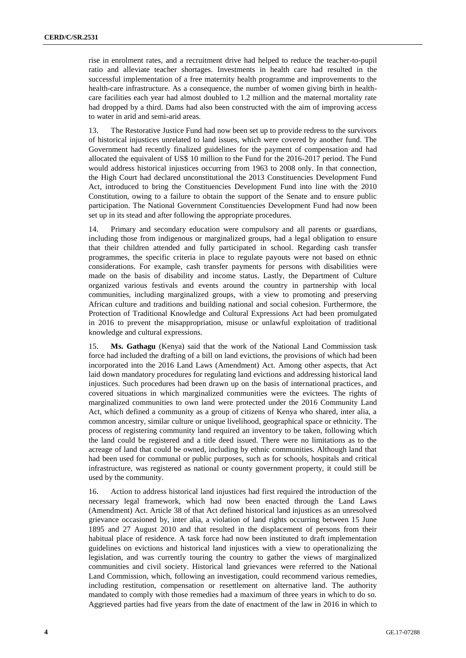rise in enrolment rates, and a recruitment drive had helped to reduce the teacher-to-pupil ratio and alleviate teacher shortages. Investments in health care had resulted in the successful implementation of a free maternity health programme and improvements to the health-care infrastructure. As a consequence, the number of women giving birth in healthcare facilities each year had almost doubled to 1.2 million and the maternal mortality rate had dropped by a third. Dams had also been constructed with the aim of improving access to water in arid and semi-arid areas.

13. The Restorative Justice Fund had now been set up to provide redress to the survivors of historical injustices unrelated to land issues, which were covered by another fund. The Government had recently finalized guidelines for the payment of compensation and had allocated the equivalent of US\$ 10 million to the Fund for the 2016-2017 period. The Fund would address historical injustices occurring from 1963 to 2008 only. In that connection, the High Court had declared unconstitutional the 2013 Constituencies Development Fund Act, introduced to bring the Constituencies Development Fund into line with the 2010 Constitution, owing to a failure to obtain the support of the Senate and to ensure public participation. The National Government Constituencies Development Fund had now been set up in its stead and after following the appropriate procedures.

14. Primary and secondary education were compulsory and all parents or guardians, including those from indigenous or marginalized groups, had a legal obligation to ensure that their children attended and fully participated in school. Regarding cash transfer programmes, the specific criteria in place to regulate payouts were not based on ethnic considerations. For example, cash transfer payments for persons with disabilities were made on the basis of disability and income status. Lastly, the Department of Culture organized various festivals and events around the country in partnership with local communities, including marginalized groups, with a view to promoting and preserving African culture and traditions and building national and social cohesion. Furthermore, the Protection of Traditional Knowledge and Cultural Expressions Act had been promulgated in 2016 to prevent the misappropriation, misuse or unlawful exploitation of traditional knowledge and cultural expressions.

15. **Ms. Gathagu** (Kenya) said that the work of the National Land Commission task force had included the drafting of a bill on land evictions, the provisions of which had been incorporated into the 2016 Land Laws (Amendment) Act. Among other aspects, that Act laid down mandatory procedures for regulating land evictions and addressing historical land injustices. Such procedures had been drawn up on the basis of international practices, and covered situations in which marginalized communities were the evictees. The rights of marginalized communities to own land were protected under the 2016 Community Land Act, which defined a community as a group of citizens of Kenya who shared, inter alia, a common ancestry, similar culture or unique livelihood, geographical space or ethnicity. The process of registering community land required an inventory to be taken, following which the land could be registered and a title deed issued. There were no limitations as to the acreage of land that could be owned, including by ethnic communities. Although land that had been used for communal or public purposes, such as for schools, hospitals and critical infrastructure, was registered as national or county government property, it could still be used by the community.

16. Action to address historical land injustices had first required the introduction of the necessary legal framework, which had now been enacted through the Land Laws (Amendment) Act. Article 38 of that Act defined historical land injustices as an unresolved grievance occasioned by, inter alia, a violation of land rights occurring between 15 June 1895 and 27 August 2010 and that resulted in the displacement of persons from their habitual place of residence. A task force had now been instituted to draft implementation guidelines on evictions and historical land injustices with a view to operationalizing the legislation, and was currently touring the country to gather the views of marginalized communities and civil society. Historical land grievances were referred to the National Land Commission, which, following an investigation, could recommend various remedies, including restitution, compensation or resettlement on alternative land. The authority mandated to comply with those remedies had a maximum of three years in which to do so. Aggrieved parties had five years from the date of enactment of the law in 2016 in which to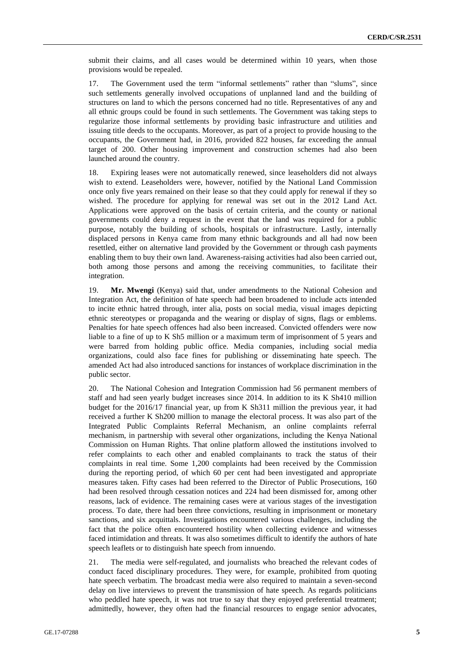submit their claims, and all cases would be determined within 10 years, when those provisions would be repealed.

17. The Government used the term "informal settlements" rather than "slums", since such settlements generally involved occupations of unplanned land and the building of structures on land to which the persons concerned had no title. Representatives of any and all ethnic groups could be found in such settlements. The Government was taking steps to regularize those informal settlements by providing basic infrastructure and utilities and issuing title deeds to the occupants. Moreover, as part of a project to provide housing to the occupants, the Government had, in 2016, provided 822 houses, far exceeding the annual target of 200. Other housing improvement and construction schemes had also been launched around the country.

18. Expiring leases were not automatically renewed, since leaseholders did not always wish to extend. Leaseholders were, however, notified by the National Land Commission once only five years remained on their lease so that they could apply for renewal if they so wished. The procedure for applying for renewal was set out in the 2012 Land Act. Applications were approved on the basis of certain criteria, and the county or national governments could deny a request in the event that the land was required for a public purpose, notably the building of schools, hospitals or infrastructure. Lastly, internally displaced persons in Kenya came from many ethnic backgrounds and all had now been resettled, either on alternative land provided by the Government or through cash payments enabling them to buy their own land. Awareness-raising activities had also been carried out, both among those persons and among the receiving communities, to facilitate their integration.

19. **Mr. Mwengi** (Kenya) said that, under amendments to the National Cohesion and Integration Act, the definition of hate speech had been broadened to include acts intended to incite ethnic hatred through, inter alia, posts on social media, visual images depicting ethnic stereotypes or propaganda and the wearing or display of signs, flags or emblems. Penalties for hate speech offences had also been increased. Convicted offenders were now liable to a fine of up to K Sh5 million or a maximum term of imprisonment of 5 years and were barred from holding public office. Media companies, including social media organizations, could also face fines for publishing or disseminating hate speech. The amended Act had also introduced sanctions for instances of workplace discrimination in the public sector.

20. The National Cohesion and Integration Commission had 56 permanent members of staff and had seen yearly budget increases since 2014. In addition to its K Sh410 million budget for the 2016/17 financial year, up from K Sh311 million the previous year, it had received a further K Sh200 million to manage the electoral process. It was also part of the Integrated Public Complaints Referral Mechanism, an online complaints referral mechanism, in partnership with several other organizations, including the Kenya National Commission on Human Rights. That online platform allowed the institutions involved to refer complaints to each other and enabled complainants to track the status of their complaints in real time. Some 1,200 complaints had been received by the Commission during the reporting period, of which 60 per cent had been investigated and appropriate measures taken. Fifty cases had been referred to the Director of Public Prosecutions, 160 had been resolved through cessation notices and 224 had been dismissed for, among other reasons, lack of evidence. The remaining cases were at various stages of the investigation process. To date, there had been three convictions, resulting in imprisonment or monetary sanctions, and six acquittals. Investigations encountered various challenges, including the fact that the police often encountered hostility when collecting evidence and witnesses faced intimidation and threats. It was also sometimes difficult to identify the authors of hate speech leaflets or to distinguish hate speech from innuendo.

21. The media were self-regulated, and journalists who breached the relevant codes of conduct faced disciplinary procedures. They were, for example, prohibited from quoting hate speech verbatim. The broadcast media were also required to maintain a seven-second delay on live interviews to prevent the transmission of hate speech. As regards politicians who peddled hate speech, it was not true to say that they enjoyed preferential treatment; admittedly, however, they often had the financial resources to engage senior advocates,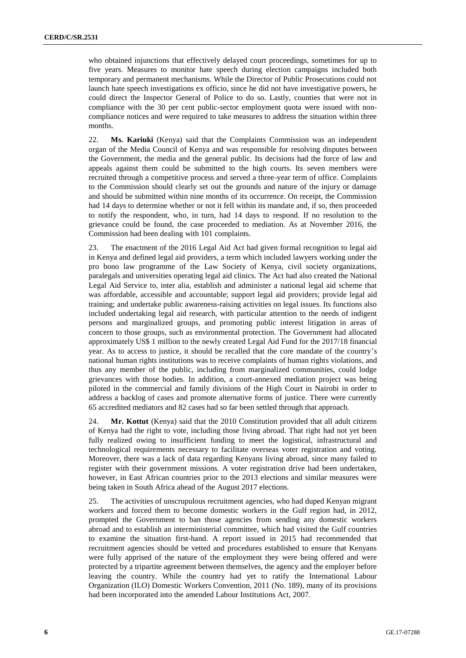who obtained injunctions that effectively delayed court proceedings, sometimes for up to five years. Measures to monitor hate speech during election campaigns included both temporary and permanent mechanisms. While the Director of Public Prosecutions could not launch hate speech investigations ex officio, since he did not have investigative powers, he could direct the Inspector General of Police to do so. Lastly, counties that were not in compliance with the 30 per cent public-sector employment quota were issued with noncompliance notices and were required to take measures to address the situation within three months.

22. **Ms. Kariuki** (Kenya) said that the Complaints Commission was an independent organ of the Media Council of Kenya and was responsible for resolving disputes between the Government, the media and the general public. Its decisions had the force of law and appeals against them could be submitted to the high courts. Its seven members were recruited through a competitive process and served a three-year term of office. Complaints to the Commission should clearly set out the grounds and nature of the injury or damage and should be submitted within nine months of its occurrence. On receipt, the Commission had 14 days to determine whether or not it fell within its mandate and, if so, then proceeded to notify the respondent, who, in turn, had 14 days to respond. If no resolution to the grievance could be found, the case proceeded to mediation. As at November 2016, the Commission had been dealing with 101 complaints.

23. The enactment of the 2016 Legal Aid Act had given formal recognition to legal aid in Kenya and defined legal aid providers, a term which included lawyers working under the pro bono law programme of the Law Society of Kenya, civil society organizations, paralegals and universities operating legal aid clinics. The Act had also created the National Legal Aid Service to, inter alia, establish and administer a national legal aid scheme that was affordable, accessible and accountable; support legal aid providers; provide legal aid training; and undertake public awareness-raising activities on legal issues. Its functions also included undertaking legal aid research, with particular attention to the needs of indigent persons and marginalized groups, and promoting public interest litigation in areas of concern to those groups, such as environmental protection. The Government had allocated approximately US\$ 1 million to the newly created Legal Aid Fund for the 2017/18 financial year. As to access to justice, it should be recalled that the core mandate of the country's national human rights institutions was to receive complaints of human rights violations, and thus any member of the public, including from marginalized communities, could lodge grievances with those bodies. In addition, a court-annexed mediation project was being piloted in the commercial and family divisions of the High Court in Nairobi in order to address a backlog of cases and promote alternative forms of justice. There were currently 65 accredited mediators and 82 cases had so far been settled through that approach.

24. **Mr. Kottut** (Kenya) said that the 2010 Constitution provided that all adult citizens of Kenya had the right to vote, including those living abroad. That right had not yet been fully realized owing to insufficient funding to meet the logistical, infrastructural and technological requirements necessary to facilitate overseas voter registration and voting. Moreover, there was a lack of data regarding Kenyans living abroad, since many failed to register with their government missions. A voter registration drive had been undertaken, however, in East African countries prior to the 2013 elections and similar measures were being taken in South Africa ahead of the August 2017 elections.

25. The activities of unscrupulous recruitment agencies, who had duped Kenyan migrant workers and forced them to become domestic workers in the Gulf region had, in 2012, prompted the Government to ban those agencies from sending any domestic workers abroad and to establish an interministerial committee, which had visited the Gulf countries to examine the situation first-hand. A report issued in 2015 had recommended that recruitment agencies should be vetted and procedures established to ensure that Kenyans were fully apprised of the nature of the employment they were being offered and were protected by a tripartite agreement between themselves, the agency and the employer before leaving the country. While the country had yet to ratify the International Labour Organization (ILO) Domestic Workers Convention, 2011 (No. 189), many of its provisions had been incorporated into the amended Labour Institutions Act, 2007.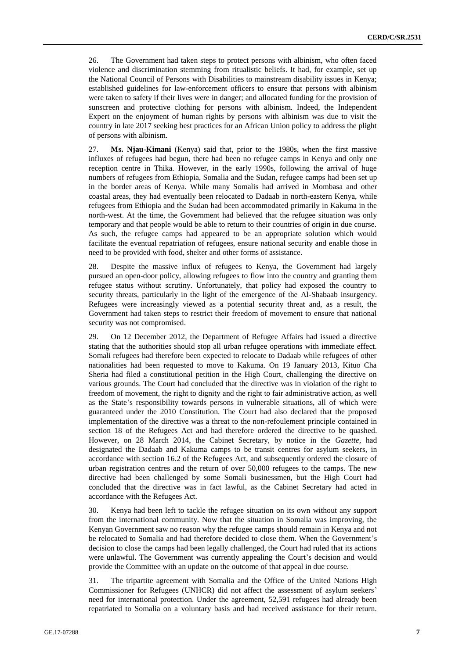26. The Government had taken steps to protect persons with albinism, who often faced violence and discrimination stemming from ritualistic beliefs. It had, for example, set up the National Council of Persons with Disabilities to mainstream disability issues in Kenya; established guidelines for law-enforcement officers to ensure that persons with albinism were taken to safety if their lives were in danger; and allocated funding for the provision of sunscreen and protective clothing for persons with albinism. Indeed, the Independent Expert on the enjoyment of human rights by persons with albinism was due to visit the country in late 2017 seeking best practices for an African Union policy to address the plight of persons with albinism.

27. **Ms. Njau-Kimani** (Kenya) said that, prior to the 1980s, when the first massive influxes of refugees had begun, there had been no refugee camps in Kenya and only one reception centre in Thika. However, in the early 1990s, following the arrival of huge numbers of refugees from Ethiopia, Somalia and the Sudan, refugee camps had been set up in the border areas of Kenya. While many Somalis had arrived in Mombasa and other coastal areas, they had eventually been relocated to Dadaab in north-eastern Kenya, while refugees from Ethiopia and the Sudan had been accommodated primarily in Kakuma in the north-west. At the time, the Government had believed that the refugee situation was only temporary and that people would be able to return to their countries of origin in due course. As such, the refugee camps had appeared to be an appropriate solution which would facilitate the eventual repatriation of refugees, ensure national security and enable those in need to be provided with food, shelter and other forms of assistance.

28. Despite the massive influx of refugees to Kenya, the Government had largely pursued an open-door policy, allowing refugees to flow into the country and granting them refugee status without scrutiny. Unfortunately, that policy had exposed the country to security threats, particularly in the light of the emergence of the Al-Shabaab insurgency. Refugees were increasingly viewed as a potential security threat and, as a result, the Government had taken steps to restrict their freedom of movement to ensure that national security was not compromised.

29. On 12 December 2012, the Department of Refugee Affairs had issued a directive stating that the authorities should stop all urban refugee operations with immediate effect. Somali refugees had therefore been expected to relocate to Dadaab while refugees of other nationalities had been requested to move to Kakuma. On 19 January 2013, Kituo Cha Sheria had filed a constitutional petition in the High Court, challenging the directive on various grounds. The Court had concluded that the directive was in violation of the right to freedom of movement, the right to dignity and the right to fair administrative action, as well as the State's responsibility towards persons in vulnerable situations, all of which were guaranteed under the 2010 Constitution. The Court had also declared that the proposed implementation of the directive was a threat to the non-refoulement principle contained in section 18 of the Refugees Act and had therefore ordered the directive to be quashed. However, on 28 March 2014, the Cabinet Secretary, by notice in the *Gazette*, had designated the Dadaab and Kakuma camps to be transit centres for asylum seekers, in accordance with section 16.2 of the Refugees Act, and subsequently ordered the closure of urban registration centres and the return of over 50,000 refugees to the camps. The new directive had been challenged by some Somali businessmen, but the High Court had concluded that the directive was in fact lawful, as the Cabinet Secretary had acted in accordance with the Refugees Act.

30. Kenya had been left to tackle the refugee situation on its own without any support from the international community. Now that the situation in Somalia was improving, the Kenyan Government saw no reason why the refugee camps should remain in Kenya and not be relocated to Somalia and had therefore decided to close them. When the Government's decision to close the camps had been legally challenged, the Court had ruled that its actions were unlawful. The Government was currently appealing the Court's decision and would provide the Committee with an update on the outcome of that appeal in due course.

31. The tripartite agreement with Somalia and the Office of the United Nations High Commissioner for Refugees (UNHCR) did not affect the assessment of asylum seekers' need for international protection. Under the agreement, 52,591 refugees had already been repatriated to Somalia on a voluntary basis and had received assistance for their return.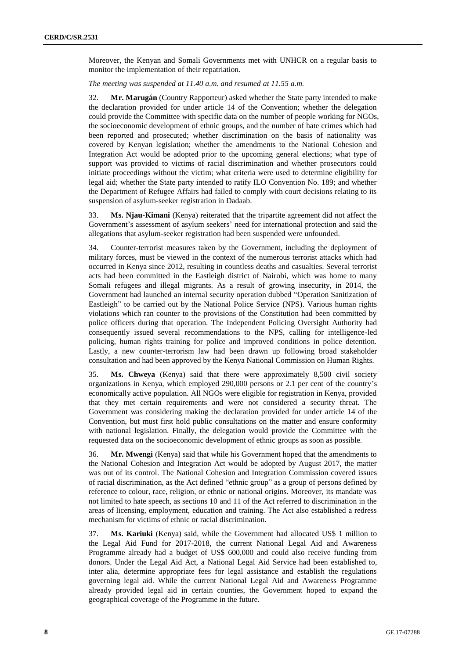Moreover, the Kenyan and Somali Governments met with UNHCR on a regular basis to monitor the implementation of their repatriation.

*The meeting was suspended at 11.40 a.m. and resumed at 11.55 a.m.*

32. **Mr. Marugán** (Country Rapporteur) asked whether the State party intended to make the declaration provided for under article 14 of the Convention; whether the delegation could provide the Committee with specific data on the number of people working for NGOs, the socioeconomic development of ethnic groups, and the number of hate crimes which had been reported and prosecuted; whether discrimination on the basis of nationality was covered by Kenyan legislation; whether the amendments to the National Cohesion and Integration Act would be adopted prior to the upcoming general elections; what type of support was provided to victims of racial discrimination and whether prosecutors could initiate proceedings without the victim; what criteria were used to determine eligibility for legal aid; whether the State party intended to ratify ILO Convention No. 189; and whether the Department of Refugee Affairs had failed to comply with court decisions relating to its suspension of asylum-seeker registration in Dadaab.

33. **Ms. Njau-Kimani** (Kenya) reiterated that the tripartite agreement did not affect the Government's assessment of asylum seekers' need for international protection and said the allegations that asylum-seeker registration had been suspended were unfounded.

34. Counter-terrorist measures taken by the Government, including the deployment of military forces, must be viewed in the context of the numerous terrorist attacks which had occurred in Kenya since 2012, resulting in countless deaths and casualties. Several terrorist acts had been committed in the Eastleigh district of Nairobi, which was home to many Somali refugees and illegal migrants. As a result of growing insecurity, in 2014, the Government had launched an internal security operation dubbed "Operation Sanitization of Eastleigh" to be carried out by the National Police Service (NPS). Various human rights violations which ran counter to the provisions of the Constitution had been committed by police officers during that operation. The Independent Policing Oversight Authority had consequently issued several recommendations to the NPS, calling for intelligence-led policing, human rights training for police and improved conditions in police detention. Lastly, a new counter-terrorism law had been drawn up following broad stakeholder consultation and had been approved by the Kenya National Commission on Human Rights.

35. **Ms. Chweya** (Kenya) said that there were approximately 8,500 civil society organizations in Kenya, which employed 290,000 persons or 2.1 per cent of the country's economically active population. All NGOs were eligible for registration in Kenya, provided that they met certain requirements and were not considered a security threat. The Government was considering making the declaration provided for under article 14 of the Convention, but must first hold public consultations on the matter and ensure conformity with national legislation. Finally, the delegation would provide the Committee with the requested data on the socioeconomic development of ethnic groups as soon as possible.

36. **Mr. Mwengi** (Kenya) said that while his Government hoped that the amendments to the National Cohesion and Integration Act would be adopted by August 2017, the matter was out of its control. The National Cohesion and Integration Commission covered issues of racial discrimination, as the Act defined "ethnic group" as a group of persons defined by reference to colour, race, religion, or ethnic or national origins. Moreover, its mandate was not limited to hate speech, as sections 10 and 11 of the Act referred to discrimination in the areas of licensing, employment, education and training. The Act also established a redress mechanism for victims of ethnic or racial discrimination.

37. **Ms. Kariuki** (Kenya) said, while the Government had allocated US\$ 1 million to the Legal Aid Fund for 2017-2018, the current National Legal Aid and Awareness Programme already had a budget of US\$ 600,000 and could also receive funding from donors. Under the Legal Aid Act, a National Legal Aid Service had been established to, inter alia, determine appropriate fees for legal assistance and establish the regulations governing legal aid. While the current National Legal Aid and Awareness Programme already provided legal aid in certain counties, the Government hoped to expand the geographical coverage of the Programme in the future.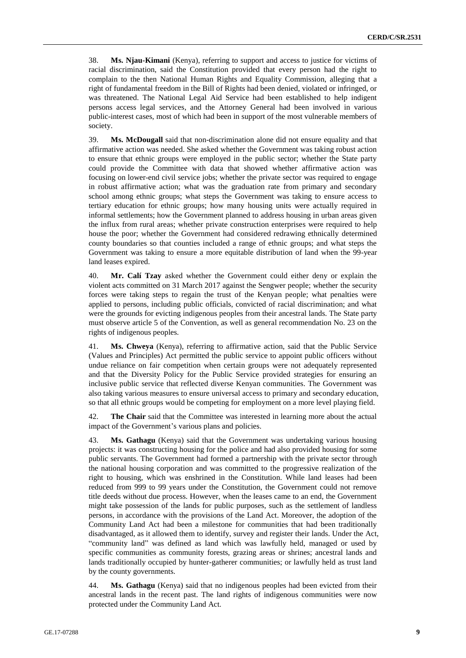38. **Ms. Njau-Kimani** (Kenya), referring to support and access to justice for victims of racial discrimination, said the Constitution provided that every person had the right to complain to the then National Human Rights and Equality Commission, alleging that a right of fundamental freedom in the Bill of Rights had been denied, violated or infringed, or was threatened. The National Legal Aid Service had been established to help indigent persons access legal services, and the Attorney General had been involved in various public-interest cases, most of which had been in support of the most vulnerable members of society.

39. **Ms. McDougall** said that non-discrimination alone did not ensure equality and that affirmative action was needed. She asked whether the Government was taking robust action to ensure that ethnic groups were employed in the public sector; whether the State party could provide the Committee with data that showed whether affirmative action was focusing on lower-end civil service jobs; whether the private sector was required to engage in robust affirmative action; what was the graduation rate from primary and secondary school among ethnic groups; what steps the Government was taking to ensure access to tertiary education for ethnic groups; how many housing units were actually required in informal settlements; how the Government planned to address housing in urban areas given the influx from rural areas; whether private construction enterprises were required to help house the poor; whether the Government had considered redrawing ethnically determined county boundaries so that counties included a range of ethnic groups; and what steps the Government was taking to ensure a more equitable distribution of land when the 99-year land leases expired.

40. **Mr. Calí Tzay** asked whether the Government could either deny or explain the violent acts committed on 31 March 2017 against the Sengwer people; whether the security forces were taking steps to regain the trust of the Kenyan people; what penalties were applied to persons, including public officials, convicted of racial discrimination; and what were the grounds for evicting indigenous peoples from their ancestral lands. The State party must observe article 5 of the Convention, as well as general recommendation No. 23 on the rights of indigenous peoples.

41. **Ms. Chweya** (Kenya), referring to affirmative action, said that the Public Service (Values and Principles) Act permitted the public service to appoint public officers without undue reliance on fair competition when certain groups were not adequately represented and that the Diversity Policy for the Public Service provided strategies for ensuring an inclusive public service that reflected diverse Kenyan communities. The Government was also taking various measures to ensure universal access to primary and secondary education, so that all ethnic groups would be competing for employment on a more level playing field.

42. **The Chair** said that the Committee was interested in learning more about the actual impact of the Government's various plans and policies.

43. **Ms. Gathagu** (Kenya) said that the Government was undertaking various housing projects: it was constructing housing for the police and had also provided housing for some public servants. The Government had formed a partnership with the private sector through the national housing corporation and was committed to the progressive realization of the right to housing, which was enshrined in the Constitution. While land leases had been reduced from 999 to 99 years under the Constitution, the Government could not remove title deeds without due process. However, when the leases came to an end, the Government might take possession of the lands for public purposes, such as the settlement of landless persons, in accordance with the provisions of the Land Act. Moreover, the adoption of the Community Land Act had been a milestone for communities that had been traditionally disadvantaged, as it allowed them to identify, survey and register their lands. Under the Act, "community land" was defined as land which was lawfully held, managed or used by specific communities as community forests, grazing areas or shrines; ancestral lands and lands traditionally occupied by hunter-gatherer communities; or lawfully held as trust land by the county governments.

44. **Ms. Gathagu** (Kenya) said that no indigenous peoples had been evicted from their ancestral lands in the recent past. The land rights of indigenous communities were now protected under the Community Land Act.